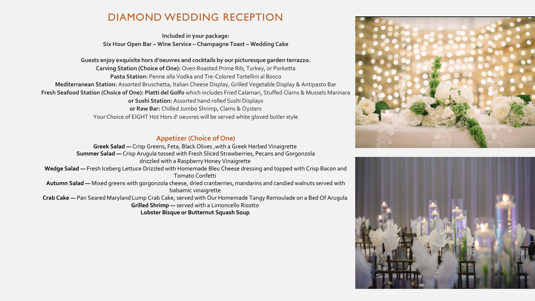# DIAMOND WEDDING RECEPTION

**Included in your package: Six Hour Open Bar – Wine Service – Champagne Toast – Wedding Cake**

**Guests enjoy exquisite hors d'oeuvres and cocktails by our picturesque garden terrazzo. Carving Station (Choice of One):** Oven Roasted Prime Rib, Turkey, or Porketta **Pasta Station:** Penne alla Vodka and Tre-Colored Tortellini al Bosco **Mediterranean Station:** Assorted Bruschetta, Italian Cheese Display, Grilled Vegetable Display & Antipasto Bar **Fresh Seafood Station (Choice of One): Platti del Golfo** which includes Fried Calamari, Stuffed Clams & Mussels Marinara **or Sushi Station:** Assorted hand rolled Sushi Displays **or Raw Bar:** Chilled Jumbo Shrimp, Clams & Oysters Your Choice of EIGHT Hot Hors d' oeuvres will be served white gloved butler style

## **Appetizer (Choice of One)**

**Greek Salad —** Crisp Greens, Feta, Black Olives ,with a Greek Herbed Vinaigrette **Summer Salad —** Crisp Arugula tossed with Fresh Sliced Strawberries, Pecans and Gorgonzola drizzled with a Raspberry Honey Vinaigrette **Wedge Salad —** Fresh Iceberg Lettuce Drizzled with Homemade Bleu Cheese dressing and topped with Crisp Bacon and Tomato Confetti **Autumn Salad —** Mixed greens with gorgonzola cheese, dried cranberries, mandarins and candied walnuts served with balsamic vinaigrette **Crab Cake —** Pan Seared Maryland Lump Crab Cake, served with Our Homemade Tangy Remoulade on a Bed Of Arugula **Grilled Shrimp —** served with a Limoncello Risotto **Lobster Bisque or Butternut Squash Soup**